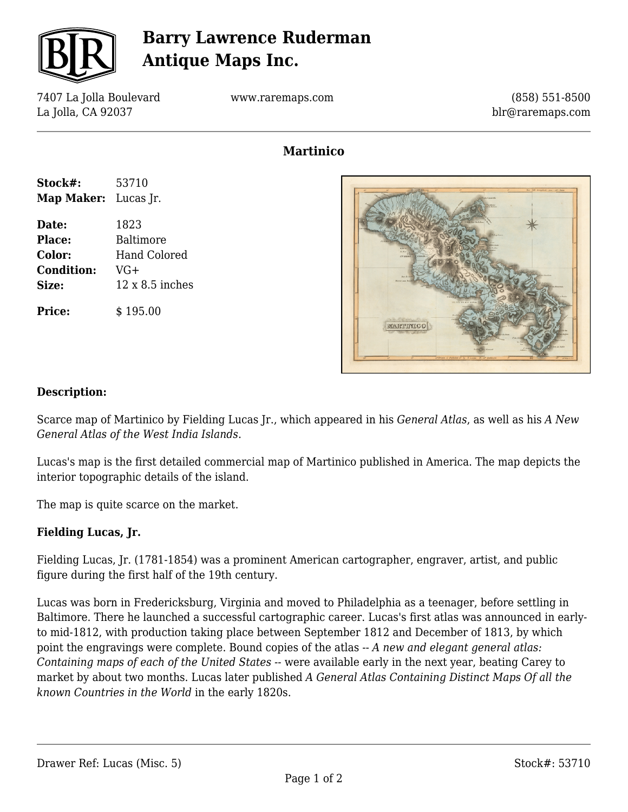

## **Barry Lawrence Ruderman Antique Maps Inc.**

7407 La Jolla Boulevard La Jolla, CA 92037

www.raremaps.com

(858) 551-8500 blr@raremaps.com

### **Martinico**

| Stock#:              | 53710                  |
|----------------------|------------------------|
| Map Maker: Lucas Jr. |                        |
| Date:                | 1823                   |
| <b>Place:</b>        | Baltimore              |
| Color:               | Hand Colored           |
| <b>Condition:</b>    | VG+                    |
| Size:                | $12 \times 8.5$ inches |
| <b>Price:</b>        | \$195.00               |



### **Description:**

Scarce map of Martinico by Fielding Lucas Jr., which appeared in his *General Atlas*, as well as his *A New General Atlas of the West India Islands*.

Lucas's map is the first detailed commercial map of Martinico published in America. The map depicts the interior topographic details of the island.

The map is quite scarce on the market.

#### **Fielding Lucas, Jr.**

Fielding Lucas, Jr. (1781-1854) was a prominent American cartographer, engraver, artist, and public figure during the first half of the 19th century.

Lucas was born in Fredericksburg, Virginia and moved to Philadelphia as a teenager, before settling in Baltimore. There he launched a successful cartographic career. Lucas's first atlas was announced in earlyto mid-1812, with production taking place between September 1812 and December of 1813, by which point the engravings were complete. Bound copies of the atlas -- *A new and elegant general atlas: Containing maps of each of the United States --* were available early in the next year, beating Carey to market by about two months. Lucas later published *A General Atlas Containing Distinct Maps Of all the known Countries in the World* in the early 1820s.